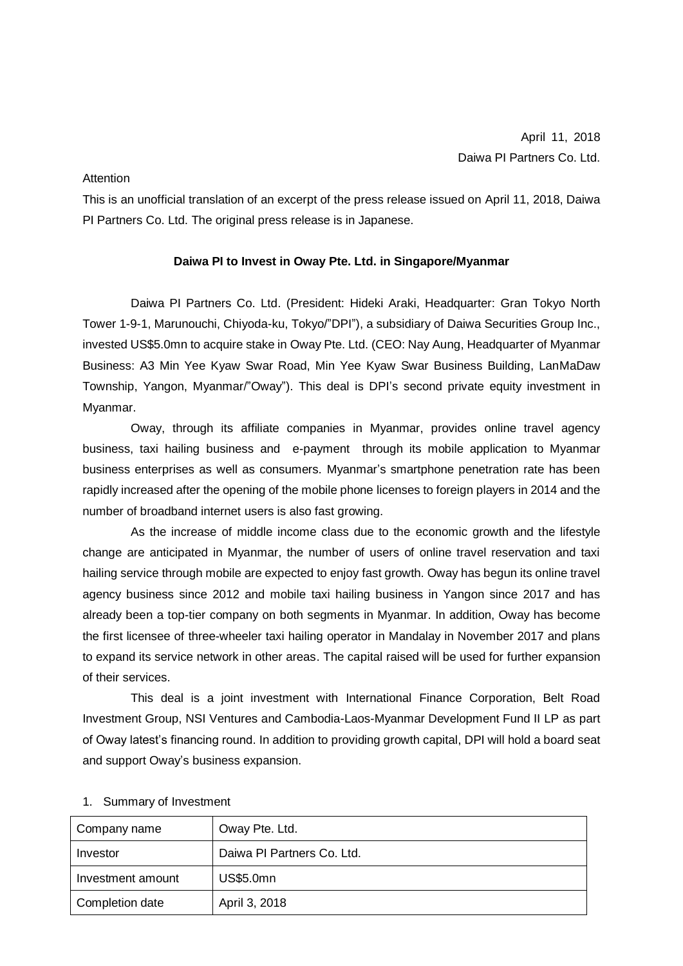## **Attention**

This is an unofficial translation of an excerpt of the press release issued on April 11, 2018, Daiwa PI Partners Co. Ltd. The original press release is in Japanese.

## **Daiwa PI to Invest in Oway Pte. Ltd. in Singapore/Myanmar**

Daiwa PI Partners Co. Ltd. (President: Hideki Araki, Headquarter: Gran Tokyo North Tower 1-9-1, Marunouchi, Chiyoda-ku, Tokyo/"DPI"), a subsidiary of Daiwa Securities Group Inc., invested US\$5.0mn to acquire stake in Oway Pte. Ltd. (CEO: Nay Aung, Headquarter of Myanmar Business: A3 Min Yee Kyaw Swar Road, Min Yee Kyaw Swar Business Building, LanMaDaw Township, Yangon, Myanmar/"Oway"). This deal is DPI's second private equity investment in Myanmar.

Oway, through its affiliate companies in Myanmar, provides online travel agency business, taxi hailing business and e-payment through its mobile application to Myanmar business enterprises as well as consumers. Myanmar's smartphone penetration rate has been rapidly increased after the opening of the mobile phone licenses to foreign players in 2014 and the number of broadband internet users is also fast growing.

As the increase of middle income class due to the economic growth and the lifestyle change are anticipated in Myanmar, the number of users of online travel reservation and taxi hailing service through mobile are expected to enjoy fast growth. Oway has begun its online travel agency business since 2012 and mobile taxi hailing business in Yangon since 2017 and has already been a top-tier company on both segments in Myanmar. In addition, Oway has become the first licensee of three-wheeler taxi hailing operator in Mandalay in November 2017 and plans to expand its service network in other areas. The capital raised will be used for further expansion of their services.

This deal is a joint investment with International Finance Corporation, Belt Road Investment Group, NSI Ventures and Cambodia-Laos-Myanmar Development Fund II LP as part of Oway latest's financing round. In addition to providing growth capital, DPI will hold a board seat and support Oway's business expansion.

| Company name      | Oway Pte. Ltd.             |
|-------------------|----------------------------|
| Investor          | Daiwa PI Partners Co. Ltd. |
| Investment amount | <b>US\$5.0mn</b>           |
| Completion date   | April 3, 2018              |

## 1. Summary of Investment